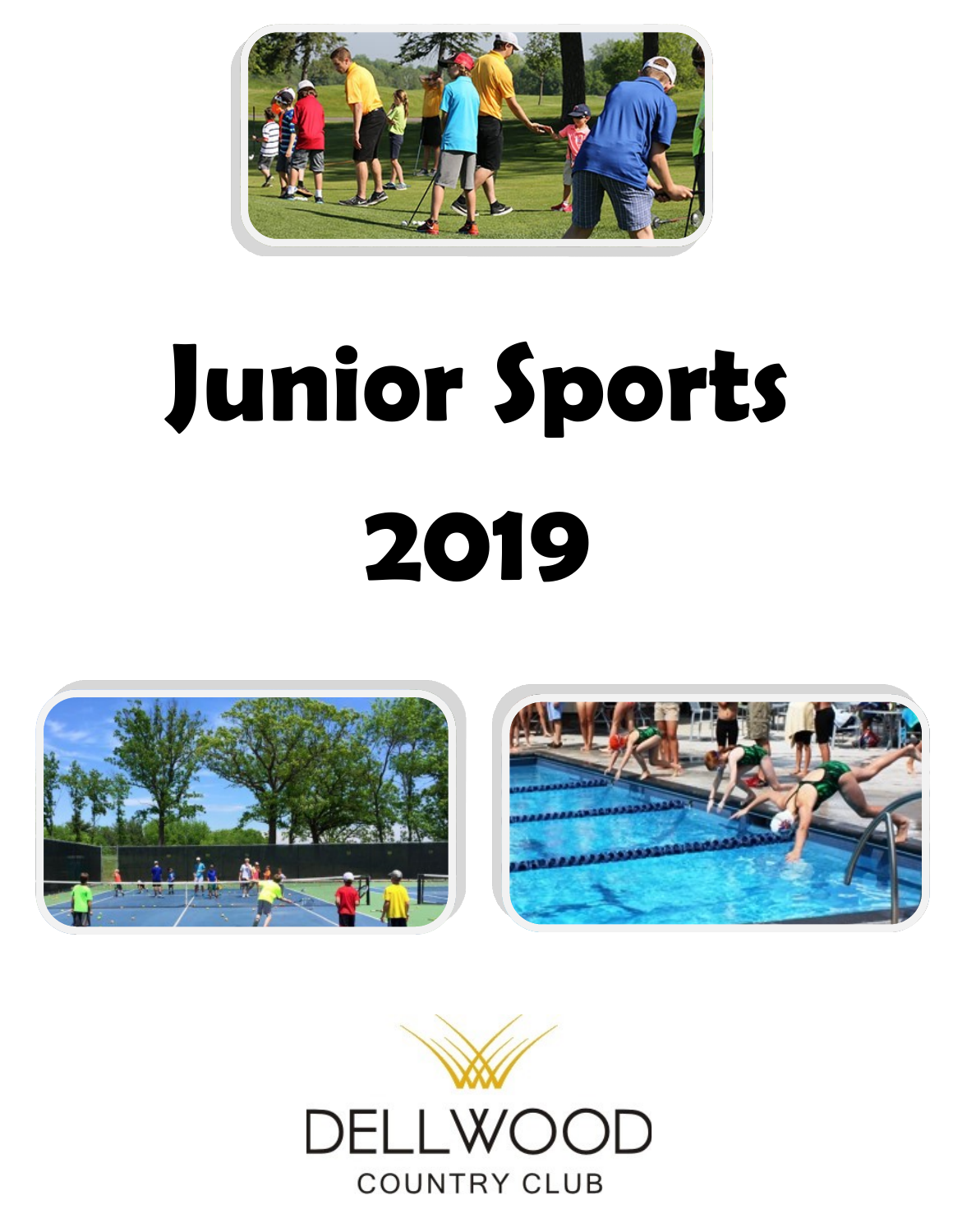

# **Junior Sports 2019**





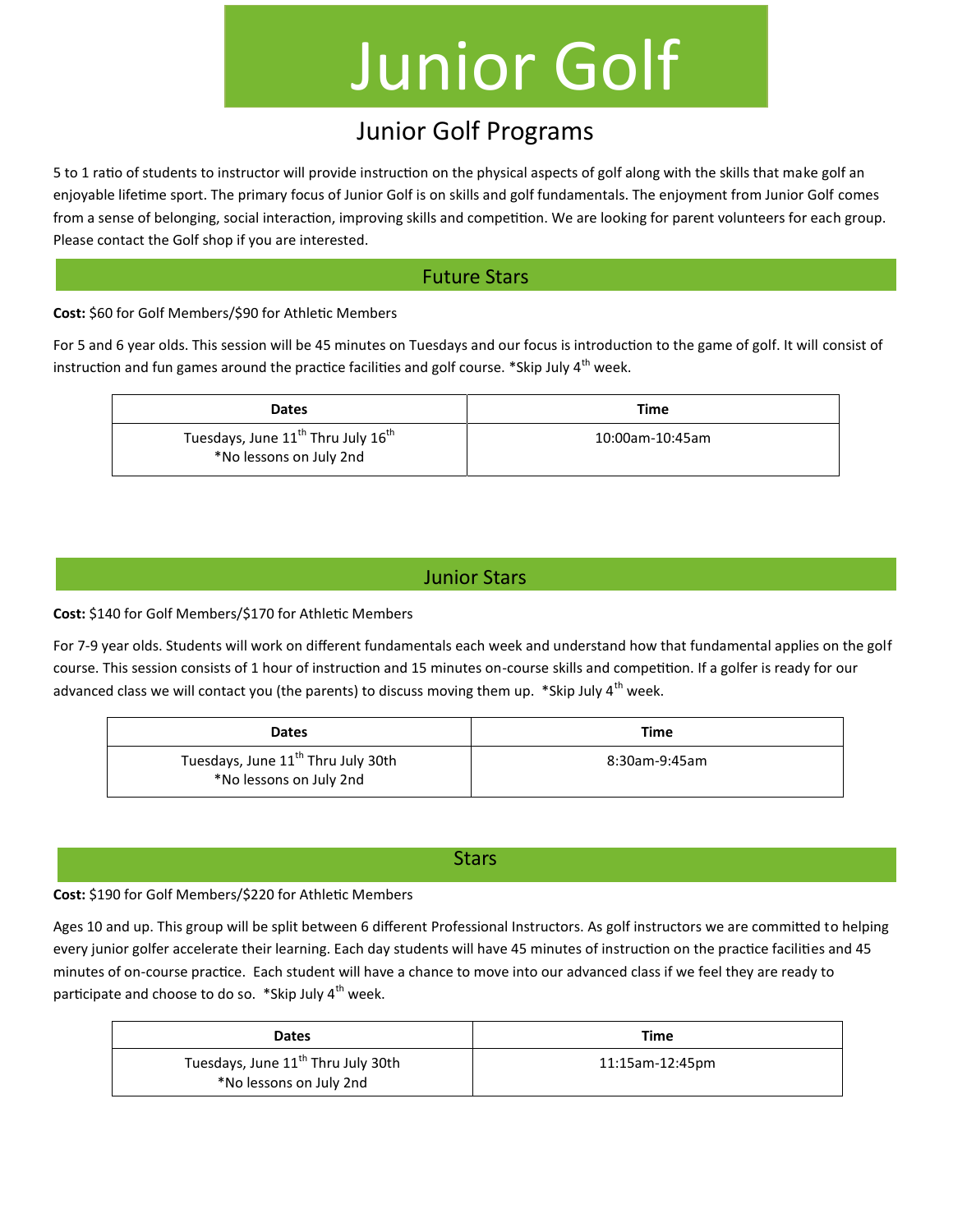### Junior Golf

#### Junior Golf Programs

5 to 1 ratio of students to instructor will provide instruction on the physical aspects of golf along with the skills that make golf an enjoyable lifetime sport. The primary focus of Junior Golf is on skills and golf fundamentals. The enjoyment from Junior Golf comes from a sense of belonging, social interaction, improving skills and competition. We are looking for parent volunteers for each group. Please contact the Golf shop if you are interested.

#### Future Stars

**Cost:** \$60 for Golf Members/\$90 for Athletic Members

For 5 and 6 year olds. This session will be 45 minutes on Tuesdays and our focus is introduction to the game of golf. It will consist of instruction and fun games around the practice facilities and golf course. \*Skip July  $4<sup>th</sup>$  week.

| <b>Dates</b>                                                                          | Time            |
|---------------------------------------------------------------------------------------|-----------------|
| Tuesdays, June 11 <sup>th</sup> Thru July 16 <sup>th</sup><br>*No lessons on July 2nd | 10:00am-10:45am |

#### Junior Stars

**Cost:** \$140 for Golf Members/\$170 for Athletic Members

For 7-9 year olds. Students will work on different fundamentals each week and understand how that fundamental applies on the golf course. This session consists of 1 hour of instruction and 15 minutes on-course skills and competition. If a golfer is ready for our advanced class we will contact you (the parents) to discuss moving them up. \*Skip July  $4^{\text{th}}$  week.

| <b>Dates</b>                                                              | Time          |
|---------------------------------------------------------------------------|---------------|
| Tuesdays, June 11 <sup>th</sup> Thru July 30th<br>*No lessons on July 2nd | 8:30am-9:45am |

#### **Stars**

#### **Cost:** \$190 for Golf Members/\$220 for Athletic Members

Ages 10 and up. This group will be split between 6 different Professional Instructors. As golf instructors we are committed to helping every junior golfer accelerate their learning. Each day students will have 45 minutes of instruction on the practice facilities and 45 minutes of on-course practice. Each student will have a chance to move into our advanced class if we feel they are ready to participate and choose to do so. \*Skip July 4<sup>th</sup> week.

| <b>Dates</b>                                                              | Time            |
|---------------------------------------------------------------------------|-----------------|
| Tuesdays, June 11 <sup>th</sup> Thru July 30th<br>*No lessons on July 2nd | 11:15am-12:45pm |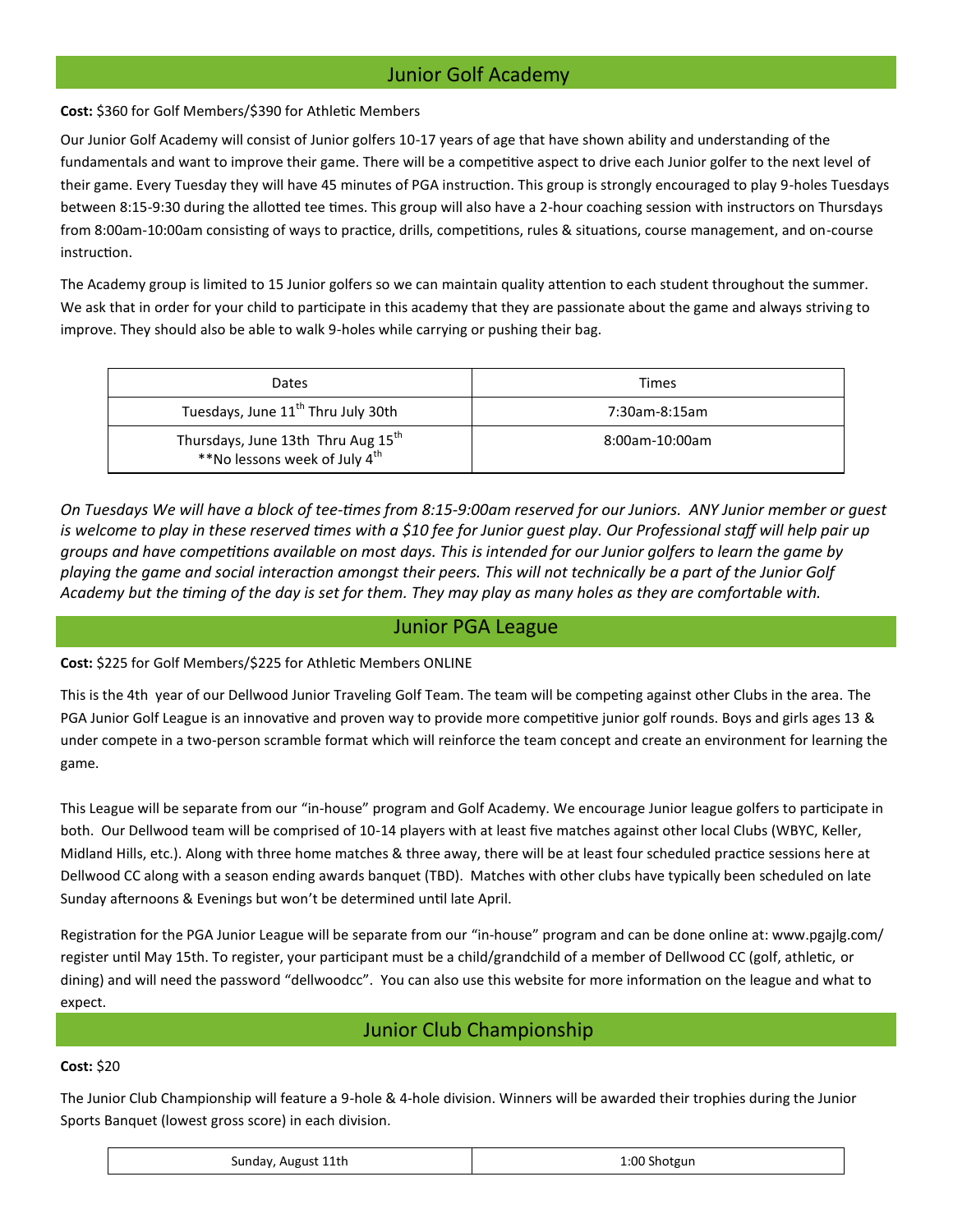#### Junior Golf Academy

**Cost:** \$360 for Golf Members/\$390 for Athletic Members

Our Junior Golf Academy will consist of Junior golfers 10-17 years of age that have shown ability and understanding of the fundamentals and want to improve their game. There will be a competitive aspect to drive each Junior golfer to the next level of their game. Every Tuesday they will have 45 minutes of PGA instruction. This group is strongly encouraged to play 9-holes Tuesdays between 8:15-9:30 during the allotted tee times. This group will also have a 2-hour coaching session with instructors on Thursdays from 8:00am-10:00am consisting of ways to practice, drills, competitions, rules & situations, course management, and on-course instruction.

The Academy group is limited to 15 Junior golfers so we can maintain quality attention to each student throughout the summer. We ask that in order for your child to participate in this academy that they are passionate about the game and always striving to improve. They should also be able to walk 9-holes while carrying or pushing their bag.

| Dates                                                                           | Times          |
|---------------------------------------------------------------------------------|----------------|
| Tuesdays, June 11 <sup>th</sup> Thru July 30th                                  | 7:30am-8:15am  |
| Thursdays, June 13th Thru Aug 15th<br>**No lessons week of July 4 <sup>th</sup> | 8:00am-10:00am |

*On Tuesdays We will have a block of tee-times from 8:15-9:00am reserved for our Juniors. ANY Junior member or guest*  is welcome to play in these reserved times with a \$10 fee for Junior guest play. Our Professional staff will help pair up *groups and have competitions available on most days. This is intended for our Junior golfers to learn the game by playing the game and social interaction amongst their peers. This will not technically be a part of the Junior Golf Academy but the timing of the day is set for them. They may play as many holes as they are comfortable with.*

#### Junior PGA League

**Cost:** \$225 for Golf Members/\$225 for Athletic Members ONLINE

This is the 4th year of our Dellwood Junior Traveling Golf Team. The team will be competing against other Clubs in the area. The PGA Junior Golf League is an innovative and proven way to provide more competitive junior golf rounds. Boys and girls ages 13 & under compete in a two-person scramble format which will reinforce the team concept and create an environment for learning the game.

This League will be separate from our "in-house" program and Golf Academy. We encourage Junior league golfers to participate in both. Our Dellwood team will be comprised of 10-14 players with at least five matches against other local Clubs (WBYC, Keller, Midland Hills, etc.). Along with three home matches & three away, there will be at least four scheduled practice sessions here at Dellwood CC along with a season ending awards banquet (TBD). Matches with other clubs have typically been scheduled on late Sunday afternoons & Evenings but won't be determined until late April.

Registration for the PGA Junior League will be separate from our "in-house" program and can be done online at: www.pgajlg.com/ register until May 15th. To register, your participant must be a child/grandchild of a member of Dellwood CC (golf, athletic, or dining) and will need the password "dellwoodcc". You can also use this website for more information on the league and what to expect.

#### Junior Club Championship

#### **Cost:** \$20

The Junior Club Championship will feature a 9-hole & 4-hole division. Winners will be awarded their trophies during the Junior Sports Banquet (lowest gross score) in each division.

| Sunday, August 11th | 1:00 Shotgun |
|---------------------|--------------|
|---------------------|--------------|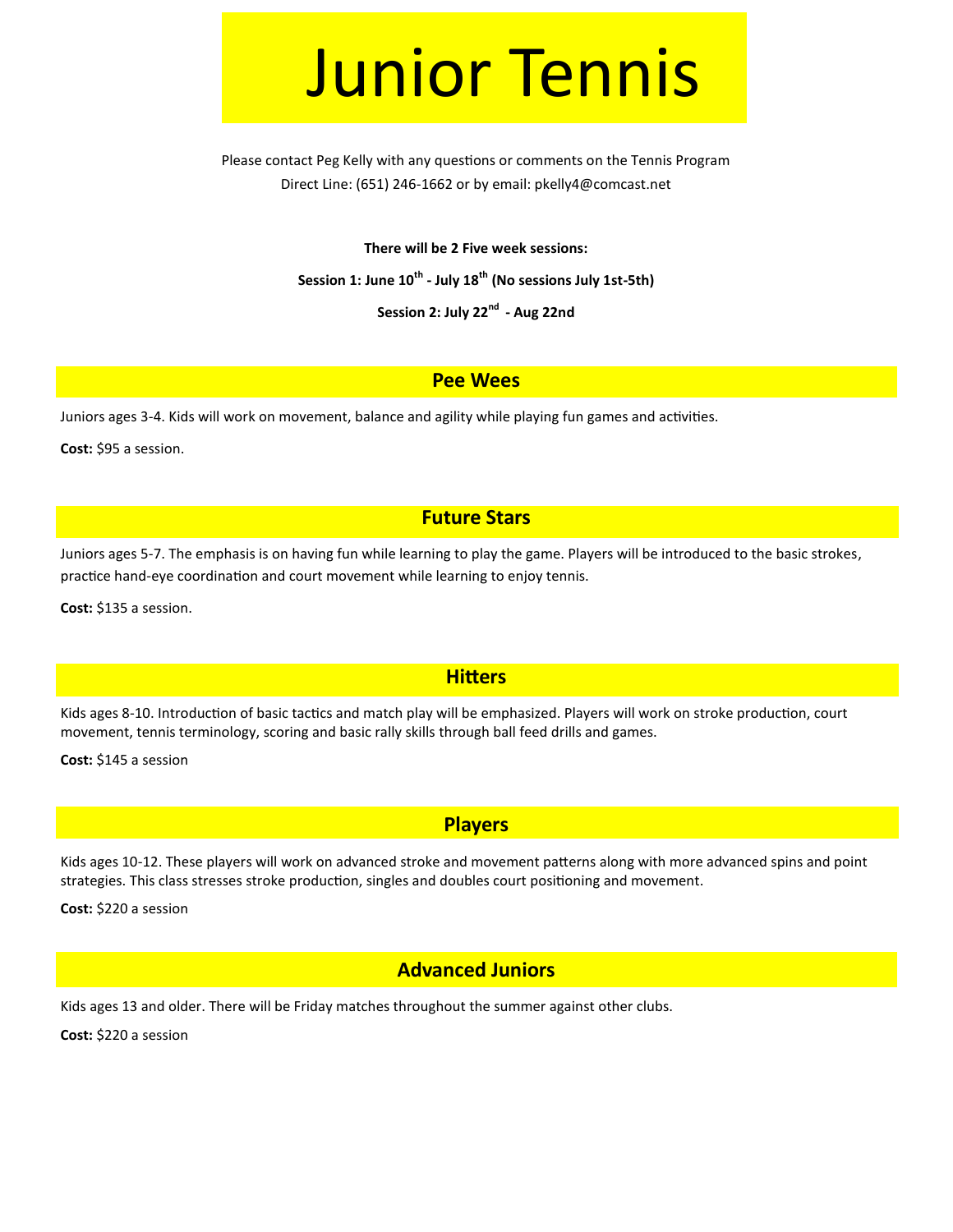### Junior Tennis

Please contact Peg Kelly with any questions or comments on the Tennis Program Direct Line: (651) 246-1662 or by email: pkelly4@comcast.net

**There will be 2 Five week sessions:**

**Session 1: June 10th - July 18th (No sessions July 1st-5th)**

**Session 2: July 22nd - Aug 22nd** 

#### **Pee Wees**

Juniors ages 3-4. Kids will work on movement, balance and agility while playing fun games and activities.

**Cost:** \$95 a session.

#### **Future Stars**

Juniors ages 5-7. The emphasis is on having fun while learning to play the game. Players will be introduced to the basic strokes, practice hand-eye coordination and court movement while learning to enjoy tennis.

**Cost:** \$135 a session.

#### **Hitters**

Kids ages 8-10. Introduction of basic tactics and match play will be emphasized. Players will work on stroke production, court movement, tennis terminology, scoring and basic rally skills through ball feed drills and games.

**Cost:** \$145 a session

#### **Players**

Kids ages 10-12. These players will work on advanced stroke and movement patterns along with more advanced spins and point strategies. This class stresses stroke production, singles and doubles court positioning and movement.

**Cost:** \$220 a session

#### **Advanced Juniors**

Kids ages 13 and older. There will be Friday matches throughout the summer against other clubs.

**Cost:** \$220 a session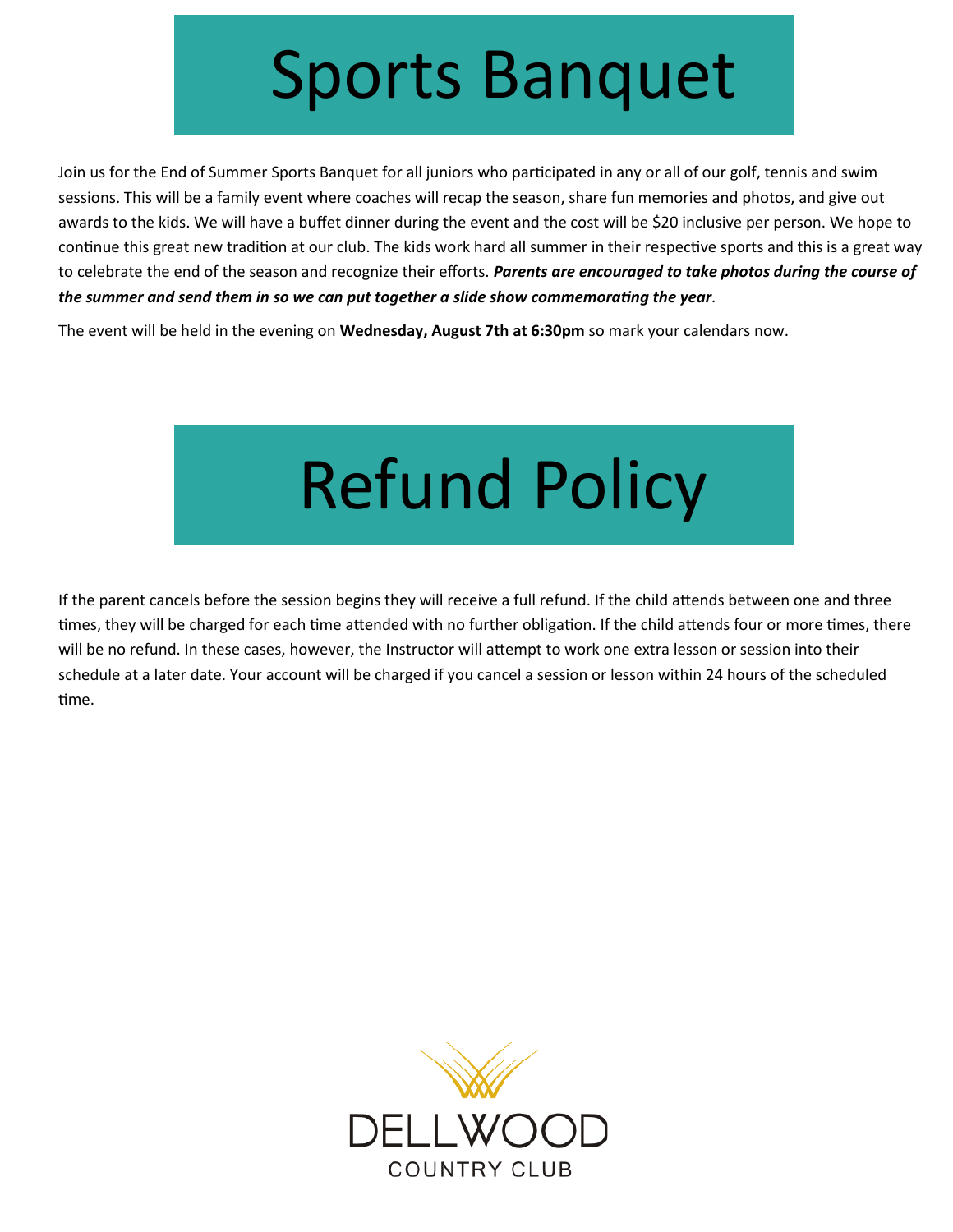### Sports Banquet

Join us for the End of Summer Sports Banquet for all juniors who participated in any or all of our golf, tennis and swim sessions. This will be a family event where coaches will recap the season, share fun memories and photos, and give out awards to the kids. We will have a buffet dinner during the event and the cost will be \$20 inclusive per person. We hope to continue this great new tradition at our club. The kids work hard all summer in their respective sports and this is a great way to celebrate the end of the season and recognize their efforts. *Parents are encouraged to take photos during the course of the summer and send them in so we can put together a slide show commemorating the year.* 

The event will be held in the evening on **Wednesday, August 7th at 6:30pm** so mark your calendars now.

# Refund Policy

If the parent cancels before the session begins they will receive a full refund. If the child attends between one and three times, they will be charged for each time attended with no further obligation. If the child attends four or more times, there will be no refund. In these cases, however, the Instructor will attempt to work one extra lesson or session into their schedule at a later date. Your account will be charged if you cancel a session or lesson within 24 hours of the scheduled time.

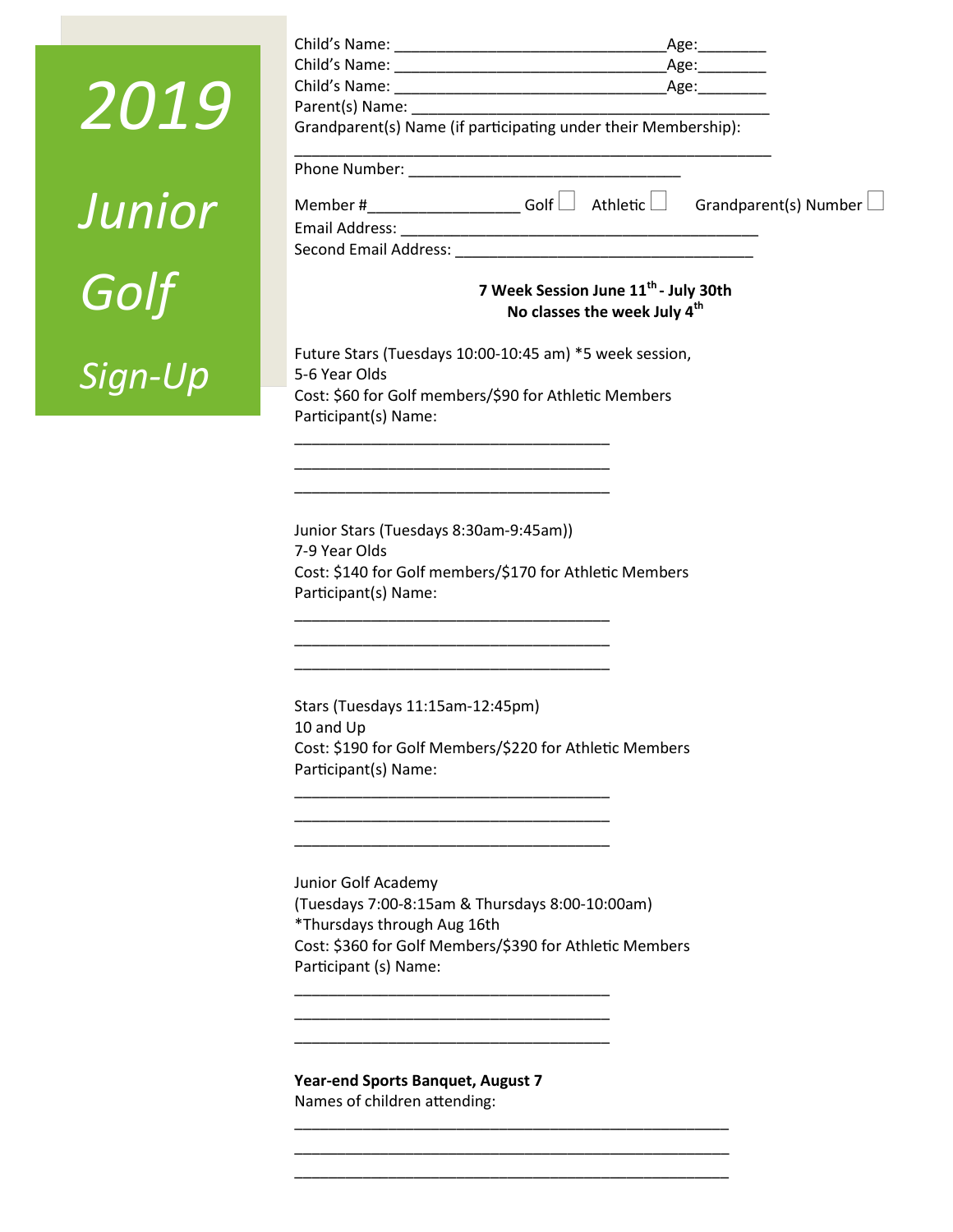| 2019    | Age:<br>Age:<br>Parent(s) Name: Name: Name and Separate and Separate and Separate and Separate and Separate and Separate and Separate and Separate and Separate and Separate and Separate and Separate and Separate and Separate and Separate |
|---------|-----------------------------------------------------------------------------------------------------------------------------------------------------------------------------------------------------------------------------------------------|
|         | Grandparent(s) Name (if participating under their Membership):                                                                                                                                                                                |
| Junior  | Member # $\qquad \qquad$ Golf $\Box$ Athletic $\Box$ Grandparent(s) Number $\Box$                                                                                                                                                             |
| Golf    | 7 Week Session June 11 <sup>th</sup> - July 30th<br>No classes the week July 4 <sup>th</sup>                                                                                                                                                  |
| Sign-Up | Future Stars (Tuesdays 10:00-10:45 am) *5 week session,<br>5-6 Year Olds<br>Cost: \$60 for Golf members/\$90 for Athletic Members<br>Participant(s) Name:                                                                                     |
|         |                                                                                                                                                                                                                                               |

\_\_\_\_\_\_\_\_\_\_\_\_\_\_\_\_\_\_\_\_\_\_\_\_\_\_\_\_\_\_\_\_\_\_\_\_\_ \_\_\_\_\_\_\_\_\_\_\_\_\_\_\_\_\_\_\_\_\_\_\_\_\_\_\_\_\_\_\_\_\_\_\_\_\_ \_\_\_\_\_\_\_\_\_\_\_\_\_\_\_\_\_\_\_\_\_\_\_\_\_\_\_\_\_\_\_\_\_\_\_\_\_

\_\_\_\_\_\_\_\_\_\_\_\_\_\_\_\_\_\_\_\_\_\_\_\_\_\_\_\_\_\_\_\_\_\_\_\_\_ \_\_\_\_\_\_\_\_\_\_\_\_\_\_\_\_\_\_\_\_\_\_\_\_\_\_\_\_\_\_\_\_\_\_\_\_\_ \_\_\_\_\_\_\_\_\_\_\_\_\_\_\_\_\_\_\_\_\_\_\_\_\_\_\_\_\_\_\_\_\_\_\_\_\_

\_\_\_\_\_\_\_\_\_\_\_\_\_\_\_\_\_\_\_\_\_\_\_\_\_\_\_\_\_\_\_\_\_\_\_\_\_ \_\_\_\_\_\_\_\_\_\_\_\_\_\_\_\_\_\_\_\_\_\_\_\_\_\_\_\_\_\_\_\_\_\_\_\_\_ \_\_\_\_\_\_\_\_\_\_\_\_\_\_\_\_\_\_\_\_\_\_\_\_\_\_\_\_\_\_\_\_\_\_\_\_\_

\_\_\_\_\_\_\_\_\_\_\_\_\_\_\_\_\_\_\_\_\_\_\_\_\_\_\_\_\_\_\_\_\_\_\_\_\_ \_\_\_\_\_\_\_\_\_\_\_\_\_\_\_\_\_\_\_\_\_\_\_\_\_\_\_\_\_\_\_\_\_\_\_\_\_

Child's Name: example and the set of the set of the set of the set of the set of the set of the set of the set o

Junior Stars (Tuesdays 8:30am-9:45am)) 7-9 Year Olds Cost: \$140 for Golf members/\$170 for Athletic Members Participant(s) Name:

Stars (Tuesdays 11:15am-12:45pm) 10 and Up Cost: \$190 for Golf Members/\$220 for Athletic Members Participant(s) Name:

Junior Golf Academy (Tuesdays 7:00-8:15am & Thursdays 8:00-10:00am) \*Thursdays through Aug 16th Cost: \$360 for Golf Members/\$390 for Athletic Members Participant (s) Name:

\_\_\_\_\_\_\_\_\_\_\_\_\_\_\_\_\_\_\_\_\_\_\_\_\_\_\_\_\_\_\_\_\_\_\_\_\_\_\_\_\_\_\_\_\_\_\_\_\_\_\_ \_\_\_\_\_\_\_\_\_\_\_\_\_\_\_\_\_\_\_\_\_\_\_\_\_\_\_\_\_\_\_\_\_\_\_\_\_\_\_\_\_\_\_\_\_\_\_\_\_\_\_ \_\_\_\_\_\_\_\_\_\_\_\_\_\_\_\_\_\_\_\_\_\_\_\_\_\_\_\_\_\_\_\_\_\_\_\_\_\_\_\_\_\_\_\_\_\_\_\_\_\_\_

**Year-end Sports Banquet, August 7** Names of children attending: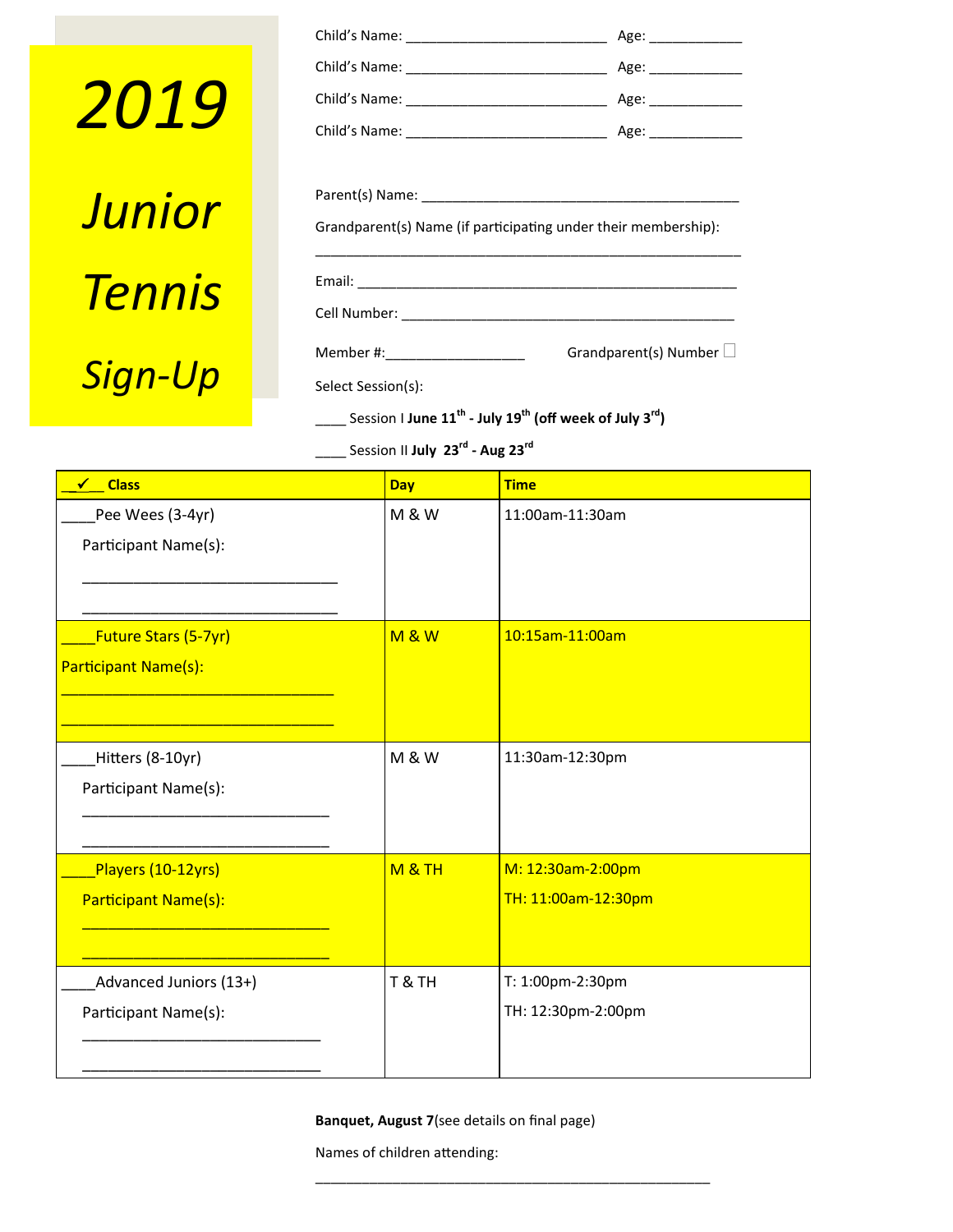# *2019 Junior Tennis Sign-Up*

| Grandparent(s) Name (if participating under their membership):                              |                              |  |
|---------------------------------------------------------------------------------------------|------------------------------|--|
|                                                                                             |                              |  |
|                                                                                             |                              |  |
|                                                                                             |                              |  |
| Member #:_____________________                                                              | Grandparent(s) Number $\Box$ |  |
| Select Session(s):                                                                          |                              |  |
| Session I June 11 <sup>th</sup> - July 19 <sup>th</sup> (off week of July 3 <sup>rd</sup> ) |                              |  |

\_\_\_\_ Session II **July 23rd - Aug 23rd**

| <b>Class</b><br>✔                                   | <b>Day</b>        | <b>Time</b>                              |
|-----------------------------------------------------|-------------------|------------------------------------------|
| Pee Wees (3-4yr)<br>Participant Name(s):            | <b>M &amp; W</b>  | 11:00am-11:30am                          |
| <b>Future Stars (5-7yr)</b><br>Participant Name(s): | <b>M&amp;W</b>    | 10:15am-11:00am                          |
| Hitters (8-10yr)<br>Participant Name(s):            | <b>M &amp; W</b>  | 11:30am-12:30pm                          |
| Players (10-12yrs)<br>Participant Name(s):          | <b>M &amp; TH</b> | M: 12:30am-2:00pm<br>TH: 11:00am-12:30pm |
| Advanced Juniors (13+)<br>Participant Name(s):      | T & TH            | T: 1:00pm-2:30pm<br>TH: 12:30pm-2:00pm   |

**Banquet, August 7**(see details on final page)

\_\_\_\_\_\_\_\_\_\_\_\_\_\_\_\_\_\_\_\_\_\_\_\_\_\_\_\_\_\_\_\_\_\_\_\_\_\_\_\_\_\_\_\_\_\_\_\_\_\_\_

Names of children attending: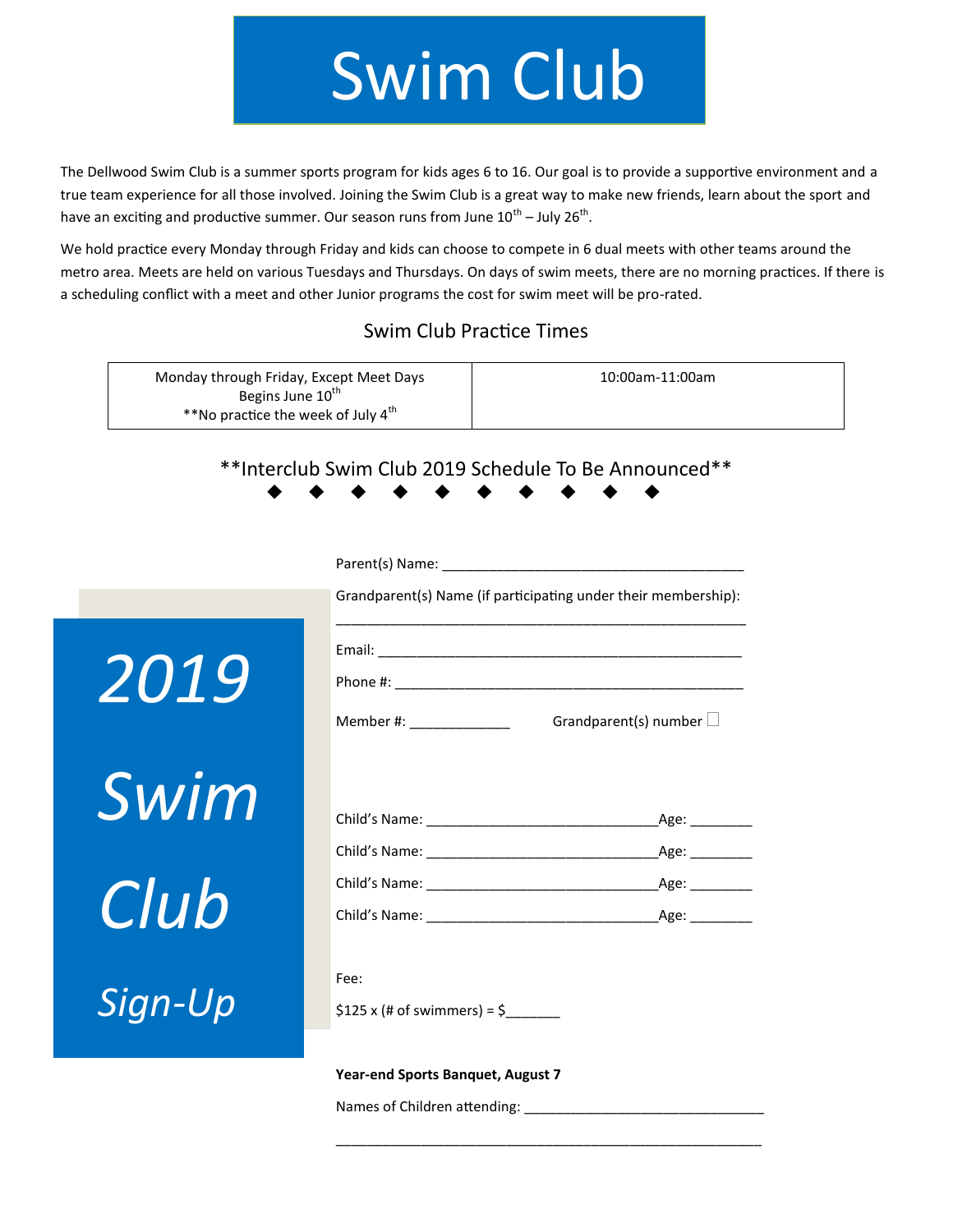## Swim Club

The Dellwood Swim Club is a summer sports program for kids ages 6 to 16. Our goal is to provide a supportive environment and a true team experience for all those involved. Joining the Swim Club is a great way to make new friends, learn about the sport and have an exciting and productive summer. Our season runs from June  $10^{th}$  – July 26<sup>th</sup>.

We hold practice every Monday through Friday and kids can choose to compete in 6 dual meets with other teams around the metro area. Meets are held on various Tuesdays and Thursdays. On days of swim meets, there are no morning practices. If there is a scheduling conflict with a meet and other Junior programs the cost for swim meet will be pro-rated.

#### Swim Club Practice Times

| Monday through Friday, Except Meet Days        | 10:00am-11:00am |
|------------------------------------------------|-----------------|
| Begins June 10 <sup>th</sup>                   |                 |
| **No practice the week of July 4 <sup>th</sup> |                 |

#### \*\*Interclub Swim Club 2019 Schedule To Be Announced\*\*

|             | Grandparent(s) Name (if participating under their membership):    |               |
|-------------|-------------------------------------------------------------------|---------------|
| <i>2019</i> | Grandparent(s) number $\Box$<br>Member #: ________________        |               |
| Swim        |                                                                   | $\angle$ Age: |
| Club        |                                                                   | $\_\$ {Age:   |
| Sign-Up     | Fee:<br>$$125 \times (# of swimmers) = $$                         |               |
|             | Year-end Sports Banquet, August 7<br>Names of Children attending: |               |

\_\_\_\_\_\_\_\_\_\_\_\_\_\_\_\_\_\_\_\_\_\_\_\_\_\_\_\_\_\_\_\_\_\_\_\_\_\_\_\_\_\_\_\_\_\_\_\_\_\_\_\_\_\_\_